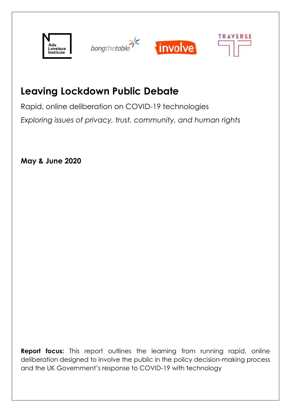



# **Leaving Lockdown Public Debate**

Rapid, online deliberation on COVID-19 technologies *Exploring issues of privacy, trust, community, and human rights*

**May & June 2020**

**Report focus:** This report outlines the learning from running rapid, online deliberation designed to involve the public in the policy decision-making process and the UK Government's response to COVID-19 with technology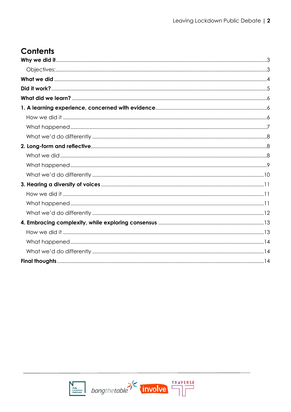# **Contents**



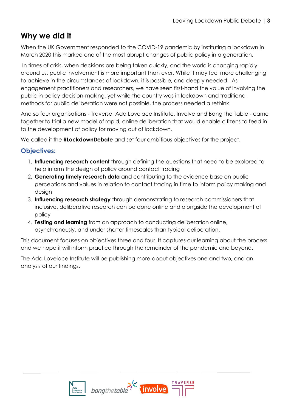## <span id="page-2-0"></span>**Why we did it**

When the UK Government responded to the COVID-19 pandemic by instituting a lockdown in March 2020 this marked one of the most abrupt changes of public policy in a generation.

In times of crisis, when decisions are being taken quickly, and the world is changing rapidly around us, public involvement is more important than ever. While it may feel more challenging to achieve in the circumstances of lockdown, it is possible, and deeply needed. As engagement practitioners and researchers, we have seen first-hand the value of involving the public in policy decision-making, yet while the country was in lockdown and traditional methods for public deliberation were not possible, the process needed a rethink.

And so four organisations - Traverse, Ada Lovelace Institute, Involve and Bang the Table - came together to trial a new model of rapid, online deliberation that would enable citizens to feed in to the development of policy for moving out of lockdown.

We called it the **#LockdownDebate** and set four ambitious objectives for the project.

## <span id="page-2-1"></span>**Objectives:**

- 1. **Influencing research content** through defining the questions that need to be explored to help inform the design of policy around contact tracing
- 2. **Generating timely research data** and contributing to the evidence base on public perceptions and values in relation to contact tracing in time to inform policy making and desian
- 3. **Influencing research strategy** through demonstrating to research commissioners that inclusive, deliberative research can be done online and alongside the development of policy
- 4. **Testing and learning** from an approach to conducting deliberation online, asynchronously, and under shorter timescales than typical deliberation.

This document focuses on objectives three and four. It captures our learning about the process and we hope it will inform practice through the remainder of the pandemic and beyond.

The Ada Lovelace Institute will be publishing more about objectives one and two, and an analysis of our findings.



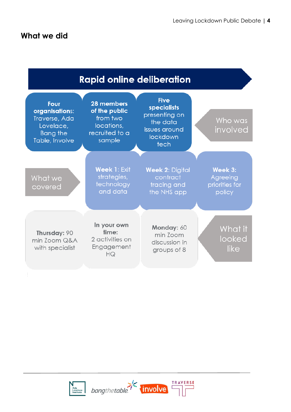<span id="page-3-0"></span>



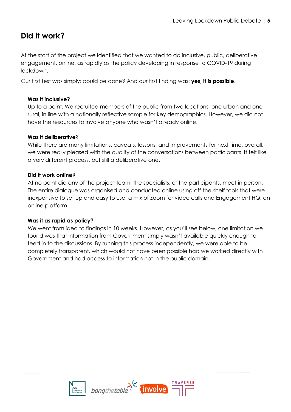## <span id="page-4-0"></span>**Did it work?**

At the start of the project we identified that we wanted to do inclusive, public, deliberative engagement, online, as rapidly as the policy developing in response to COVID-19 during lockdown.

Our first test was simply: could be done? And our first finding was: **yes, it is possible**.

#### **Was it inclusive?**

Up to a point. We recruited members of the public from two locations, one urban and one rural, in line with a nationally reflective sample for key demographics. However, we did not have the resources to involve anyone who wasn't already online.

#### **Was it deliberative**?

While there are many limitations, caveats, lessons, and improvements for next time, overall, we were really pleased with the quality of the conversations between participants. It felt like a very different process, but still a deliberative one.

#### **Did it work online**?

At no point did any of the project team, the specialists, or the participants, meet in person. The entire dialogue was organised and conducted online using off-the-shelf tools that were inexpensive to set up and easy to use, a mix of Zoom for video calls and Engagement HQ, an online platform.

#### **Was it as rapid as policy?**

We went from idea to findings in 10 weeks. However, as you'll see below, one limitation we found was that information from Government simply wasn't available quickly enough to feed in to the discussions. By running this process independently, we were able to be completely transparent, which would not have been possible had we worked directly with Government and had access to information not in the public domain.



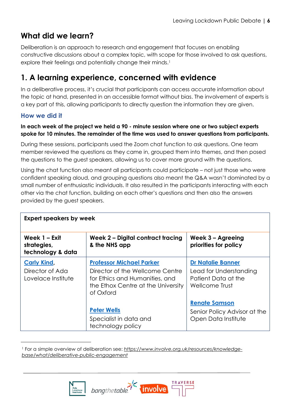## <span id="page-5-0"></span>**What did we learn?**

Deliberation is an approach to research and engagement that focuses on enabling constructive discussions about a complex topic, with scope for those involved to ask questions, explore their feelings and potentially change their minds. 1

## <span id="page-5-1"></span>**1. A learning experience, concerned with evidence**

In a deliberative process, it's crucial that participants can access accurate information about the topic at hand, presented in an accessible format without bias. The involvement of experts is a key part of this, allowing participants to directly question the information they are given.

## <span id="page-5-2"></span>**How we did it**

### **In each week of the project we held a 90 - minute session where one or two subject experts spoke for 10 minutes. The remainder of the time was used to answer questions from participants.**

During these sessions, participants used the Zoom chat function to ask questions. One team member reviewed the questions as they came in, grouped them into themes, and then posed the questions to the guest speakers, allowing us to cover more ground with the questions.

Using the chat function also meant all participants could participate – not just those who were confident speaking aloud, and grouping questions also meant the Q&A wasn't dominated by a small number of enthusiastic individuals. It also resulted in the participants interacting with each other via the chat function, building on each other's questions and then also the answers provided by the guest speakers.

| <b>Expert speakers by week</b>                              |                                                                                                                                                         |                                                                                             |  |
|-------------------------------------------------------------|---------------------------------------------------------------------------------------------------------------------------------------------------------|---------------------------------------------------------------------------------------------|--|
| Week 1 - Exit<br>strategies,<br>technology & data           | Week 2 - Digital contract tracing<br>& the NHS app                                                                                                      | Week $3 -$ Agreeing<br>priorities for policy                                                |  |
| <b>Carly Kind,</b><br>Director of Ada<br>Lovelace Institute | <b>Professor Michael Parker</b><br>Director of the Wellcome Centre<br>for Ethics and Humanities, and<br>the Ethox Centre at the University<br>of Oxford | <b>Dr Natalie Banner</b><br>Lead for Understanding<br>Patient Data at the<br>Wellcome Trust |  |
|                                                             | <b>Peter Wells</b><br>Specialist in data and<br>technology policy                                                                                       | <b>Renate Samson</b><br>Senior Policy Advisor at the<br>Open Data Institute                 |  |

<sup>1</sup> For a simple overview of deliberation see: *[https://www.involve.org.uk/resources/knowledge](https://www.involve.org.uk/resources/knowledge-base/what/deliberative-public-engagement)[base/what/deliberative-public-engagement](https://www.involve.org.uk/resources/knowledge-base/what/deliberative-public-engagement)*

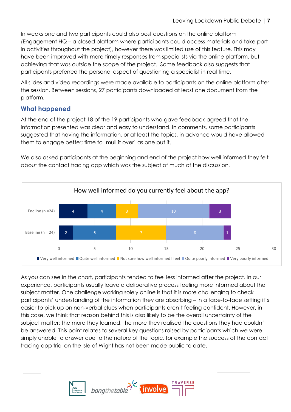In weeks one and two participants could also post questions on the online platform (Engagement HQ – a closed platform where participants could access materials and take part in activities throughout the project), however there was limited use of this feature. This may have been improved with more timely responses from specialists via the online platform, but achieving that was outside the scope of the project. Some feedback also suggests that participants preferred the personal aspect of questioning a specialist in real time.

All slides and video recordings were made available to participants on the online platform after the session. Between sessions, 27 participants downloaded at least one document from the platform.

## <span id="page-6-0"></span>**What happened**

At the end of the project 18 of the 19 participants who gave feedback agreed that the information presented was clear and easy to understand. In comments, some participants suggested that having the information, or at least the topics, in advance would have allowed them to engage better; time to 'mull it over' as one put it.

We also asked participants at the beginning and end of the project how well informed they felt about the contact tracing app which was the subject of much of the discussion.



As you can see in the chart, participants tended to feel less informed after the project. In our experience, participants usually leave a deliberative process feeling more informed about the subject matter. One challenge working solely online is that it is more challenging to check participants' understanding of the information they are absorbing – in a face-to-face setting it's easier to pick up on non-verbal clues when participants aren't feeling confident. However, in this case, we think that reason behind this is also likely to be the overall uncertainty of the subject matter; the more they learned, the more they realised the questions they had couldn't be answered. This point relates to several key questions raised by participants which we were simply unable to answer due to the nature of the topic, for example the success of the contact tracing app trial on the Isle of Wight has not been made public to date.

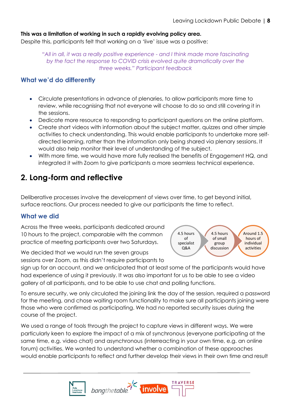#### **This was a limitation of working in such a rapidly evolving policy area.**

Despite this, participants felt that working on a 'live' issue was a positive:

*"All in all, it was a really positive experience - and I think made more fascinating by the fact the response to COVID crisis evolved quite dramatically over the three weeks." Participant feedback*

#### <span id="page-7-0"></span>**What we'd do differently**

- Circulate presentations in advance of plenaries, to allow participants more time to review, while recognising that not everyone will choose to do so and still covering it in the sessions.
- Dedicate more resource to responding to participant questions on the online platform.
- Create short videos with information about the subject matter, quizzes and other simple activities to check understanding. This would enable participants to undertake more selfdirected learning, rather than the information only being shared via plenary sessions. It would also help monitor their level of understanding of the subject.
- With more time, we would have more fully realised the benefits of Engagement HQ, and integrated it with Zoom to give participants a more seamless technical experience.

## <span id="page-7-1"></span>**2. Long-form and reflective**

Deliberative processes involve the development of views over time, to get beyond initial, surface reactions. Our process needed to give our participants the time to reflect.

### <span id="page-7-2"></span>**What we did**

Across the three weeks, participants dedicated around 10 hours to the project, comparable with the common practice of meeting participants over two Saturdays.

We decided that we would run the seven groups sessions over Zoom, as this didn't require participants to



sign up for an account, and we anticipated that at least some of the participants would have had experience of using it previously. It was also important for us to be able to see a video gallery of all participants, and to be able to use chat and polling functions.

To ensure security, we only circulated the joining link the day of the session, required a password for the meeting, and chose waiting room functionality to make sure all participants joining were those who were confirmed as participating. We had no reported security issues during the course of the project.

We used a range of tools through the project to capture views in different ways. We were particularly keen to explore the impact of a mix of synchronous (everyone participating at the same time, e.g. video chat) and asynchronous (interreacting in your own time, e.g. an online forum) activities. We wanted to understand whether a combination of these approaches would enable participants to reflect and further develop their views in their own time and result

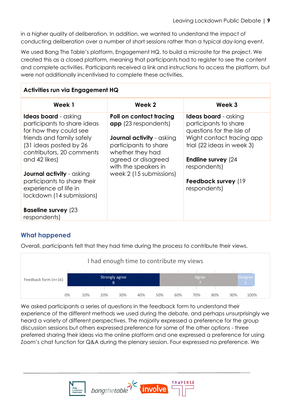in a higher quality of deliberation. In addition, we wanted to understand the impact of conducting deliberation over a number of short sessions rather than a typical day-long event.

We used Bang The Table's platform, Engagement HQ, to build a microsite for the project. We created this as a closed platform, meaning that participants had to register to see the content and complete activities. Participants received a link and instructions to access the platform, but were not additionally incentivised to complete these activities.

| <b>Activities run via Engagement HQ</b>                                                                                                                                                                                                                                                                                                                           |                                                                                                                                                                                                                   |                                                                                                                                                                                                                                    |  |
|-------------------------------------------------------------------------------------------------------------------------------------------------------------------------------------------------------------------------------------------------------------------------------------------------------------------------------------------------------------------|-------------------------------------------------------------------------------------------------------------------------------------------------------------------------------------------------------------------|------------------------------------------------------------------------------------------------------------------------------------------------------------------------------------------------------------------------------------|--|
| Week 1                                                                                                                                                                                                                                                                                                                                                            | Week 2                                                                                                                                                                                                            | Week 3                                                                                                                                                                                                                             |  |
| <b>Ideas board</b> - asking<br>participants to share ideas<br>for how they could see<br>friends and family safely<br>(31 ideas posted by 26<br>contributors, 20 comments<br>and 42 likes)<br><b>Journal activity</b> - asking<br>participants to share their<br>experience of life in<br>lockdown (14 submissions)<br><b>Baseline survey (23)</b><br>respondents) | Poll on contact tracing<br><b>app</b> (23 respondents)<br><b>Journal activity</b> - asking<br>participants to share<br>whether they had<br>agreed or disagreed<br>with the speakers in<br>week 2 (15 submissions) | <b>Ideas board</b> - asking<br>participants to share<br>questions for the Isle of<br>Wight contact tracing app<br>trial (22 ideas in week 3)<br><b>Endline survey (24)</b><br>respondents)<br>Feedback survey (19)<br>respondents) |  |

## <span id="page-8-0"></span>**What happened**

Overall, participants felt that they had time during the process to contribute their views.



We asked participants a series of questions in the feedback form to understand their experience of the different methods we used during the debate, and perhaps unsurprisingly we heard a variety of different perspectives. The majority expressed a preference for the group discussion sessions but others expressed preference for some of the other options - three preferred sharing their ideas via the online platform and one expressed a preference for using Zoom's chat function for Q&A during the plenary session. Four expressed no preference. We

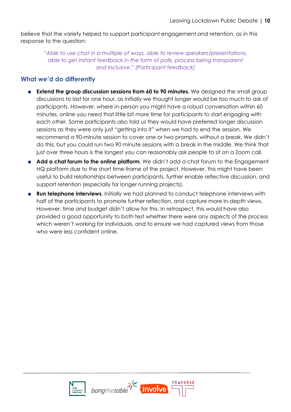believe that the variety helped to support participant engagement and retention, as in this response to the question:

*"Able to use chat in a multiple of ways, able to review speakers/presentations, able to get instant feedback in the form of polls, process being transparent and inclusive." (Participant feedback)*

## <span id="page-9-0"></span>**What we'd do differently**

- **Extend the group discussion sessions from 60 to 90 minutes.** We designed the small group discussions to last for one hour, as initially we thought longer would be too much to ask of participants. However, where in-person you might have a robust conversation within 60 minutes, online you need that little bit more time for participants to start engaging with each other. Some participants also told us they would have preferred longer discussion sessions as they were only just "getting into it" when we had to end the session. We recommend a 90-minute session to cover one or two prompts, without a break. We didn't do this, but you could run two 90 minute sessions with a break in the middle. We think that just over three hours is the longest you can reasonably ask people to sit on a Zoom call.
- **Add a chat forum to the online platform.** We didn't add a chat forum to the Engagement HQ platform due to the short time-frame of the project. However, this might have been useful to build relationships between participants, further enable reflective discussion, and support retention (especially for longer running projects).
- **Run telephone interviews**. Initially we had planned to conduct telephone interviews with half of the participants to promote further reflection, and capture more in-depth views. However, time and budget didn't allow for this. In retrospect, this would have also provided a good opportunity to both test whether there were any aspects of the process which weren't working for individuals, and to ensure we had captured views from those who were less confident online.



bangthetable.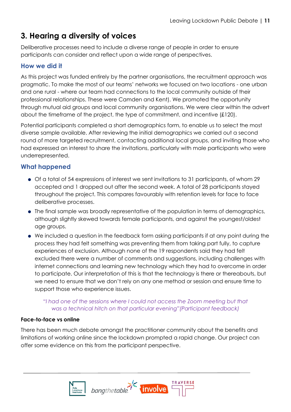## <span id="page-10-0"></span>**3. Hearing a diversity of voices**

Deliberative processes need to include a diverse range of people in order to ensure participants can consider and reflect upon a wide range of perspectives.

## <span id="page-10-1"></span>**How we did it**

As this project was funded entirely by the partner organisations, the recruitment approach was pragmatic. To make the most of our teams' networks we focused on two locations - one urban and one rural - where our team had connections to the local community outside of their professional relationships. These were Camden and Kent). We promoted the opportunity through mutual aid groups and local community organisations. We were clear within the advert about the timeframe of the project, the type of commitment, and incentive (£120).

Potential participants completed a short demographics form, to enable us to select the most diverse sample available. After reviewing the initial demographics we carried out a second round of more targeted recruitment, contacting additional local groups, and inviting those who had expressed an interest to share the invitations, particularly with male participants who were underrepresented.

## <span id="page-10-2"></span>**What happened**

- Of a total of 54 expressions of interest we sent invitations to 31 participants, of whom 29 accepted and 1 dropped out after the second week. A total of 28 participants stayed throughout the project. This compares favourably with retention levels for face to face deliberative processes.
- The final sample was broadly representative of the population in terms of demographics, although slightly skewed towards female participants, and against the youngest/oldest age groups.
- We included a question in the feedback form asking participants if at any point during the process they had felt something was preventing them from taking part fully, to capture experiences of exclusion. Although none of the 19 respondents said they had felt excluded there were a number of comments and suggestions, including challenges with internet connections and learning new technology which they had to overcome in order to participate. Our interpretation of this is that the technology is there or thereabouts, but we need to ensure that we don't rely on any one method or session and ensure time to support those who experience issues.

### *"I had one of the sessions where I could not access the Zoom meeting but that was a technical hitch on that particular evening"(Participant feedback)*

#### **Face-to-face vs online**

There has been much debate amongst the practitioner community about the benefits and limitations of working online since the lockdown prompted a rapid change. Our project can offer some evidence on this from the participant perspective.

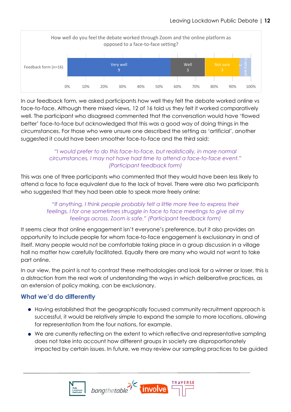

In our feedback form, we asked participants how well they felt the debate worked online vs face-to-face. Although there mixed views, 12 of 16 told us they felt it worked comparatively well. The participant who disagreed commented that the conversation would have 'flowed better' face-to-face but acknowledged that this was a good way of doing things in the circumstances. For those who were unsure one described the setting as 'artificial', another suggested it could have been smoother face-to-face and the third said:

### *"I would prefer to do this face-to-face, but realistically, in more normal circumstances, I may not have had time to attend a face-to-face event." (Participant feedback form)*

This was one of three participants who commented that they would have been less likely to attend a face to face equivalent due to the lack of travel. There were also two participants who suggested that they had been able to speak more freely online:

#### *"If anything, I think people probably felt a little more free to express their feelings, I for one sometimes struggle in face to face meetings to give all my feelings across. Zoom is safe." (Participant feedback form)*

It seems clear that online engagement isn't everyone's preference, but it also provides an opportunity to include people for whom face-to-face engagement is exclusionary in and of itself. Many people would not be comfortable taking place in a group discussion in a village hall no matter how carefully facilitated. Equally there are many who would not want to take part online.

In our view, the point is not to contrast these methodologies and look for a winner or loser, this is a distraction from the real work of understanding the ways in which deliberative practices, as an extension of policy making, can be exclusionary.

## <span id="page-11-0"></span>**What we'd do differently**

- Having established that the geographically focused community recruitment approach is successful, it would be relatively simple to expand the sample to more locations, allowing for representation from the four nations, for example.
- We are currently reflecting on the extent to which reflective and representative sampling does not take into account how different groups in society are disproportionately impacted by certain issues. In future, we may review our sampling practices to be guided

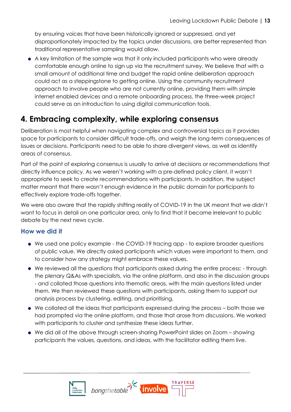by ensuring voices that have been historically ignored or suppressed, and yet disproportionately impacted by the topics under discussions, are better represented than traditional representative sampling would allow.

• A key limitation of the sample was that it only included participants who were already comfortable enough online to sign up via the recruitment survey. We believe that with a small amount of additional time and budget the rapid online deliberation approach could act as a steppingstone to getting online. Using the community recruitment approach to involve people who are not currently online, providing them with simple internet enabled devices and a remote onboarding process, the three-week project could serve as an introduction to using digital communication tools.

## <span id="page-12-0"></span>**4. Embracing complexity, while exploring consensus**

Deliberation is most helpful when navigating complex and controversial topics as it provides space for participants to consider difficult trade-offs, and weigh the long-term consequences of issues or decisions. Participants need to be able to share divergent views, as well as identify areas of consensus.

Part of the point of exploring consensus is usually to arrive at decisions or recommendations that directly influence policy. As we weren't working with a pre-defined policy client, it wasn't appropriate to seek to create recommendations with participants. In addition, the subject matter meant that there wasn't enough evidence in the public domain for participants to effectively explore trade-offs together.

We were also aware that the rapidly shifting reality of COVID-19 in the UK meant that we didn't want to focus in detail on one particular area, only to find that it became irrelevant to public debate by the next news cycle.

### <span id="page-12-1"></span>**How we did it**

- We used one policy example the COVID-19 tracing app to explore broader questions of public value. We directly asked participants which values were important to them, and to consider how any strategy might embrace these values.
- We reviewed all the questions that participants asked during the entire process: through the plenary Q&As with specialists, via the online platform, and also in the discussion groups - and collated those questions into thematic areas, with the main questions listed under them. We then reviewed these questions with participants, asking them to support our analysis process by clustering, editing, and prioritising.
- We collated all the ideas that participants expressed during the process both those we had prompted via the online platform, and those that arose from discussions. We worked with participants to cluster and synthesize these ideas further.
- We did all of the above through screen-sharing PowerPoint slides on Zoom showing participants the values, questions, and ideas, with the facilitator editing them live.



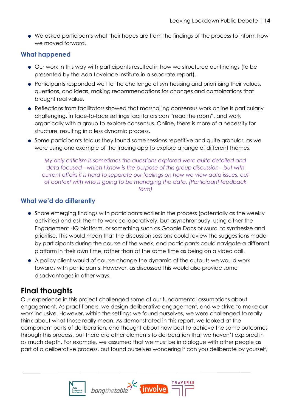• We asked participants what their hopes are from the findings of the process to inform how we moved forward.

## <span id="page-13-0"></span>**What happened**

- Our work in this way with participants resulted in how we structured our findings (to be presented by the Ada Lovelace Institute in a separate report).
- Participants responded well to the challenge of synthesising and prioritising their values, questions, and ideas, making recommendations for changes and combinations that brought real value.
- Reflections from facilitators showed that marshalling consensus work online is particularly challenging. In face-to-face settings facilitators can "read the room", and work organically with a group to explore consensus. Online, there is more of a necessity for structure, resulting in a less dynamic process.
- Some participants told us they found some sessions repetitive and quite granular, as we were using one example of the tracing app to explore a range of different themes.

*My only criticism is sometimes the questions explored were quite detailed and data focused - which I know is the purpose of this group discussion - but with current affairs it is hard to separate our feelings on how we view data issues, out of context with who is going to be managing the data. (Participant feedback form)*

## <span id="page-13-1"></span>**What we'd do differently**

- Share emerging findings with participants earlier in the process (potentially as the weekly activities) and ask them to work collaboratively, but asynchronously, using either the Engagement HQ platform, or something such as Google Docs or Mural to synthesize and prioritise. This would mean that the discussion sessions could review the suggestions made by participants during the course of the week, and participants could navigate a different platform in their own time, rather than at the same time as being on a video call.
- A policy client would of course change the dynamic of the outputs we would work towards with participants. However, as discussed this would also provide some disadvantages in other ways.

## <span id="page-13-2"></span>**Final thoughts**

Our experience in this project challenged some of our fundamental assumptions about engagement. As practitioners, we design deliberative engagement, and we strive to make our work inclusive. However, within the settings we found ourselves, we were challenged to really think about what those really mean. As demonstrated in this report, we looked at the component parts of deliberation, and thought about how best to achieve the same outcomes through this process, but there are other elements to deliberation that we haven't explored in as much depth. For example, we assumed that we must be in dialogue with other people as part of a deliberative process, but found ourselves wondering if can you deliberate by yourself,

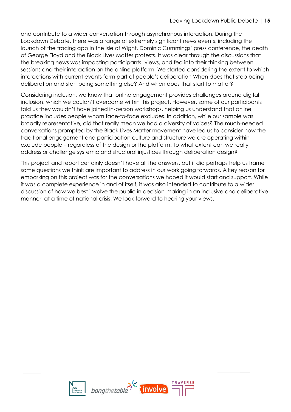and contribute to a wider conversation through asynchronous interaction. During the Lockdown Debate, there was a range of extremely significant news events, including the launch of the tracing app in the Isle of Wight, Dominic Cummings' press conference, the death of George Floyd and the Black Lives Matter protests. It was clear through the discussions that the breaking news was impacting participants' views, and fed into their thinking between sessions and their interaction on the online platform. We started considering the extent to which interactions with current events form part of people's deliberation When does that stop being deliberation and start being something else? And when does that start to matter?

Considering inclusion, we know that online engagement provides challenges around digital inclusion, which we couldn't overcome within this project. However, some of our participants told us they wouldn't have joined in-person workshops, helping us understand that online practice includes people whom face-to-face excludes. In addition, while our sample was broadly representative, did that really mean we had a diversity of voices? The much-needed conversations prompted by the Black Lives Matter movement have led us to consider how the traditional engagement and participation culture and structure we are operating within exclude people – regardless of the design or the platform. To what extent can we really address or challenge systemic and structural injustices through deliberation design?

This project and report certainly doesn't have all the answers, but it did perhaps help us frame some questions we think are important to address in our work going forwards. A key reason for embarking on this project was for the conversations we hoped it would start and support. While it was a complete experience in and of itself, it was also intended to contribute to a wider discussion of how we best involve the public in decision-making in an inclusive and deliberative manner, at a time of national crisis. We look forward to hearing your views.